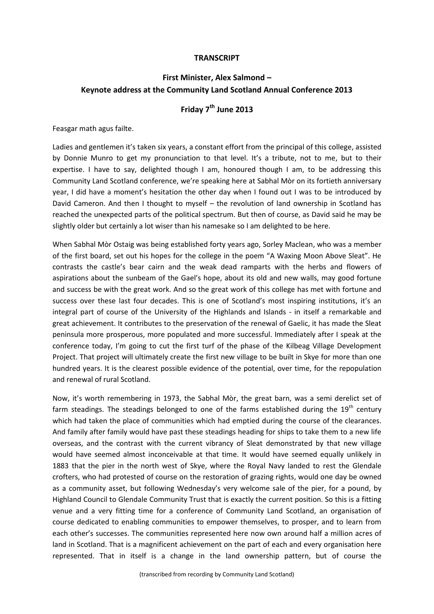## **TRANSCRIPT**

## **First Minister, Alex Salmond – Keynote address at the Community Land Scotland Annual Conference 2013**

## **Friday 7th June 2013**

Feasgar math agus failte.

Ladies and gentlemen it's taken six years, a constant effort from the principal of this college, assisted by Donnie Munro to get my pronunciation to that level. It's a tribute, not to me, but to their expertise. I have to say, delighted though I am, honoured though I am, to be addressing this Community Land Scotland conference, we're speaking here at Sabhal Mòr on its fortieth anniversary year, I did have a moment's hesitation the other day when I found out I was to be introduced by David Cameron. And then I thought to myself – the revolution of land ownership in Scotland has reached the unexpected parts of the political spectrum. But then of course, as David said he may be slightly older but certainly a lot wiser than his namesake so I am delighted to be here.

When Sabhal Mòr Ostaig was being established forty years ago, Sorley Maclean, who was a member of the first board, set out his hopes for the college in the poem "A Waxing Moon Above Sleat". He contrasts the castle's bear cairn and the weak dead ramparts with the herbs and flowers of aspirations about the sunbeam of the Gael's hope, about its old and new walls, may good fortune and success be with the great work. And so the great work of this college has met with fortune and success over these last four decades. This is one of Scotland's most inspiring institutions, it's an integral part of course of the University of the Highlands and Islands - in itself a remarkable and great achievement. It contributes to the preservation of the renewal of Gaelic, it has made the Sleat peninsula more prosperous, more populated and more successful. Immediately after I speak at the conference today, I'm going to cut the first turf of the phase of the Kilbeag Village Development Project. That project will ultimately create the first new village to be built in Skye for more than one hundred years. It is the clearest possible evidence of the potential, over time, for the repopulation and renewal of rural Scotland.

Now, it's worth remembering in 1973, the Sabhal Mòr, the great barn, was a semi derelict set of farm steadings. The steadings belonged to one of the farms established during the 19<sup>th</sup> century which had taken the place of communities which had emptied during the course of the clearances. And family after family would have past these steadings heading for ships to take them to a new life overseas, and the contrast with the current vibrancy of Sleat demonstrated by that new village would have seemed almost inconceivable at that time. It would have seemed equally unlikely in 1883 that the pier in the north west of Skye, where the Royal Navy landed to rest the Glendale crofters, who had protested of course on the restoration of grazing rights, would one day be owned as a community asset, but following Wednesday's very welcome sale of the pier, for a pound, by Highland Council to Glendale Community Trust that is exactly the current position. So this is a fitting venue and a very fitting time for a conference of Community Land Scotland, an organisation of course dedicated to enabling communities to empower themselves, to prosper, and to learn from each other's successes. The communities represented here now own around half a million acres of land in Scotland. That is a magnificent achievement on the part of each and every organisation here represented. That in itself is a change in the land ownership pattern, but of course the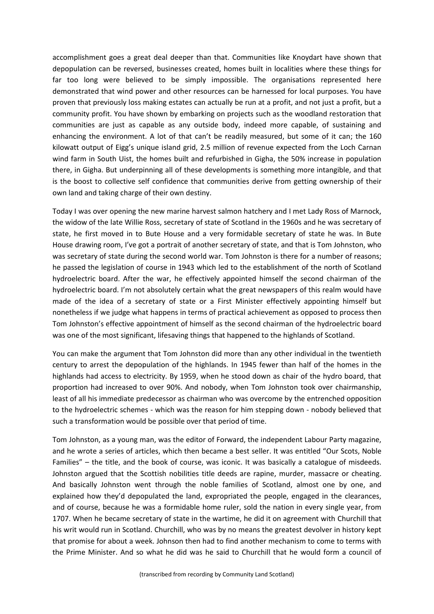accomplishment goes a great deal deeper than that. Communities like Knoydart have shown that depopulation can be reversed, businesses created, homes built in localities where these things for far too long were believed to be simply impossible. The organisations represented here demonstrated that wind power and other resources can be harnessed for local purposes. You have proven that previously loss making estates can actually be run at a profit, and not just a profit, but a community profit. You have shown by embarking on projects such as the woodland restoration that communities are just as capable as any outside body, indeed more capable, of sustaining and enhancing the environment. A lot of that can't be readily measured, but some of it can; the 160 kilowatt output of Eigg's unique island grid, 2.5 million of revenue expected from the Loch Carnan wind farm in South Uist, the homes built and refurbished in Gigha, the 50% increase in population there, in Gigha. But underpinning all of these developments is something more intangible, and that is the boost to collective self confidence that communities derive from getting ownership of their own land and taking charge of their own destiny.

Today I was over opening the new marine harvest salmon hatchery and I met Lady Ross of Marnock, the widow of the late Willie Ross, secretary of state of Scotland in the 1960s and he was secretary of state, he first moved in to Bute House and a very formidable secretary of state he was. In Bute House drawing room, I've got a portrait of another secretary of state, and that is Tom Johnston, who was secretary of state during the second world war. Tom Johnston is there for a number of reasons; he passed the legislation of course in 1943 which led to the establishment of the north of Scotland hydroelectric board. After the war, he effectively appointed himself the second chairman of the hydroelectric board. I'm not absolutely certain what the great newspapers of this realm would have made of the idea of a secretary of state or a First Minister effectively appointing himself but nonetheless if we judge what happens in terms of practical achievement as opposed to process then Tom Johnston's effective appointment of himself as the second chairman of the hydroelectric board was one of the most significant, lifesaving things that happened to the highlands of Scotland.

You can make the argument that Tom Johnston did more than any other individual in the twentieth century to arrest the depopulation of the highlands. In 1945 fewer than half of the homes in the highlands had access to electricity. By 1959, when he stood down as chair of the hydro board, that proportion had increased to over 90%. And nobody, when Tom Johnston took over chairmanship, least of all his immediate predecessor as chairman who was overcome by the entrenched opposition to the hydroelectric schemes - which was the reason for him stepping down - nobody believed that such a transformation would be possible over that period of time.

Tom Johnston, as a young man, was the editor of Forward, the independent Labour Party magazine, and he wrote a series of articles, which then became a best seller. It was entitled "Our Scots, Noble Families" – the title, and the book of course, was iconic. It was basically a catalogue of misdeeds. Johnston argued that the Scottish nobilities title deeds are rapine, murder, massacre or cheating. And basically Johnston went through the noble families of Scotland, almost one by one, and explained how they'd depopulated the land, expropriated the people, engaged in the clearances, and of course, because he was a formidable home ruler, sold the nation in every single year, from 1707. When he became secretary of state in the wartime, he did it on agreement with Churchill that his writ would run in Scotland. Churchill, who was by no means the greatest devolver in history kept that promise for about a week. Johnson then had to find another mechanism to come to terms with the Prime Minister. And so what he did was he said to Churchill that he would form a council of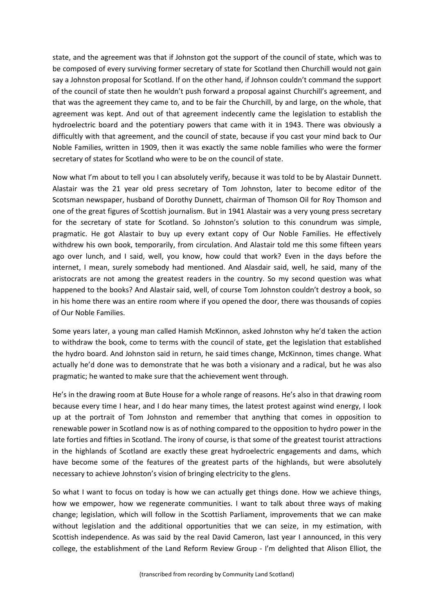state, and the agreement was that if Johnston got the support of the council of state, which was to be composed of every surviving former secretary of state for Scotland then Churchill would not gain say a Johnston proposal for Scotland. If on the other hand, if Johnson couldn't command the support of the council of state then he wouldn't push forward a proposal against Churchill's agreement, and that was the agreement they came to, and to be fair the Churchill, by and large, on the whole, that agreement was kept. And out of that agreement indecently came the legislation to establish the hydroelectric board and the potentiary powers that came with it in 1943. There was obviously a difficultly with that agreement, and the council of state, because if you cast your mind back to Our Noble Families, written in 1909, then it was exactly the same noble families who were the former secretary of states for Scotland who were to be on the council of state.

Now what I'm about to tell you I can absolutely verify, because it was told to be by Alastair Dunnett. Alastair was the 21 year old press secretary of Tom Johnston, later to become editor of the Scotsman newspaper, husband of Dorothy Dunnett, chairman of Thomson Oil for Roy Thomson and one of the great figures of Scottish journalism. But in 1941 Alastair was a very young press secretary for the secretary of state for Scotland. So Johnston's solution to this conundrum was simple, pragmatic. He got Alastair to buy up every extant copy of Our Noble Families. He effectively withdrew his own book, temporarily, from circulation. And Alastair told me this some fifteen years ago over lunch, and I said, well, you know, how could that work? Even in the days before the internet, I mean, surely somebody had mentioned. And Alasdair said, well, he said, many of the aristocrats are not among the greatest readers in the country. So my second question was what happened to the books? And Alastair said, well, of course Tom Johnston couldn't destroy a book, so in his home there was an entire room where if you opened the door, there was thousands of copies of Our Noble Families.

Some years later, a young man called Hamish McKinnon, asked Johnston why he'd taken the action to withdraw the book, come to terms with the council of state, get the legislation that established the hydro board. And Johnston said in return, he said times change, McKinnon, times change. What actually he'd done was to demonstrate that he was both a visionary and a radical, but he was also pragmatic; he wanted to make sure that the achievement went through.

He's in the drawing room at Bute House for a whole range of reasons. He's also in that drawing room because every time I hear, and I do hear many times, the latest protest against wind energy, I look up at the portrait of Tom Johnston and remember that anything that comes in opposition to renewable power in Scotland now is as of nothing compared to the opposition to hydro power in the late forties and fifties in Scotland. The irony of course, is that some of the greatest tourist attractions in the highlands of Scotland are exactly these great hydroelectric engagements and dams, which have become some of the features of the greatest parts of the highlands, but were absolutely necessary to achieve Johnston's vision of bringing electricity to the glens.

So what I want to focus on today is how we can actually get things done. How we achieve things, how we empower, how we regenerate communities. I want to talk about three ways of making change; legislation, which will follow in the Scottish Parliament, improvements that we can make without legislation and the additional opportunities that we can seize, in my estimation, with Scottish independence. As was said by the real David Cameron, last year I announced, in this very college, the establishment of the Land Reform Review Group - I'm delighted that Alison Elliot, the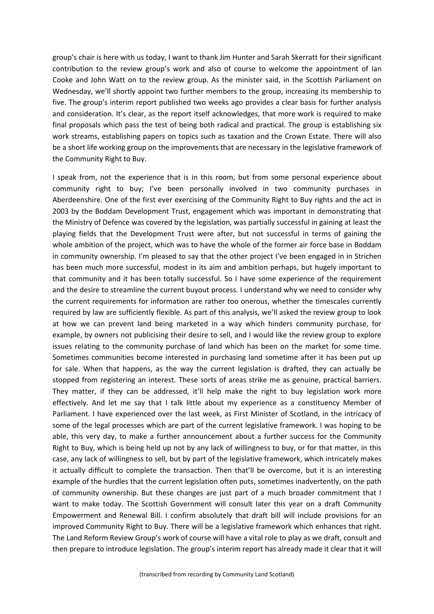group's chair is here with us today, I want to thank Jim Hunter and Sarah Skerratt for their significant contribution to the review group's work and also of course to welcome the appointment of Ian Cooke and John Watt on to the review group. As the minister said, in the Scottish Parliament on Wednesday, we'll shortly appoint two further members to the group, increasing its membership to five. The group's interim report published two weeks ago provides a clear basis for further analysis and consideration. It's clear, as the report itself acknowledges, that more work is required to make final proposals which pass the test of being both radical and practical. The group is establishing six work streams, establishing papers on topics such as taxation and the Crown Estate. There will also be a short life working group on the improvements that are necessary in the legislative framework of the Community Right to Buy.

I speak from, not the experience that is in this room, but from some personal experience about community right to buy; I've been personally involved in two community purchases in Aberdeenshire. One of the first ever exercising of the Community Right to Buy rights and the act in 2003 by the Boddam Development Trust, engagement which was important in demonstrating that the Ministry of Defence was covered by the legislation, was partially successful in gaining at least the playing fields that the Development Trust were after, but not successful in terms of gaining the whole ambition of the project, which was to have the whole of the former air force base in Boddam in community ownership. I'm pleased to say that the other project I've been engaged in in Strichen has been much more successful, modest in its aim and ambition perhaps, but hugely important to that community and it has been totally successful. So I have some experience of the requirement and the desire to streamline the current buyout process. I understand why we need to consider why the current requirements for information are rather too onerous, whether the timescales currently required by law are sufficiently flexible. As part of this analysis, we'll asked the review group to look at how we can prevent land being marketed in a way which hinders community purchase, for example, by owners not publicising their desire to sell, and I would like the review group to explore issues relating to the community purchase of land which has been on the market for some time. Sometimes communities become interested in purchasing land sometime after it has been put up for sale. When that happens, as the way the current legislation is drafted, they can actually be stopped from registering an interest. These sorts of areas strike me as genuine, practical barriers. They matter, if they can be addressed, it'll help make the right to buy legislation work more effectively. And let me say that I talk little about my experience as a constituency Member of Parliament. I have experienced over the last week, as First Minister of Scotland, in the intricacy of some of the legal processes which are part of the current legislative framework. I was hoping to be able, this very day, to make a further announcement about a further success for the Community Right to Buy, which is being held up not by any lack of willingness to buy, or for that matter, in this case, any lack of willingness to sell, but by part of the legislative framework, which intricately makes it actually difficult to complete the transaction. Then that'll be overcome, but it is an interesting example of the hurdles that the current legislation often puts, sometimes inadvertently, on the path of community ownership. But these changes are just part of a much broader commitment that I want to make today. The Scottish Government will consult later this year on a draft Community Empowerment and Renewal Bill. I confirm absolutely that draft bill will include provisions for an improved Community Right to Buy. There will be a legislative framework which enhances that right. The Land Reform Review Group's work of course will have a vital role to play as we draft, consult and then prepare to introduce legislation. The group's interim report has already made it clear that it will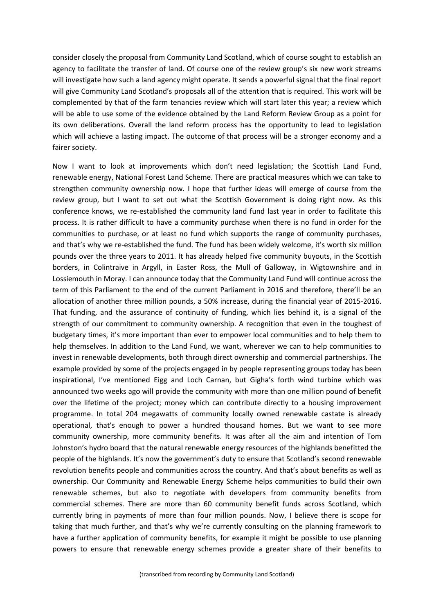consider closely the proposal from Community Land Scotland, which of course sought to establish an agency to facilitate the transfer of land. Of course one of the review group's six new work streams will investigate how such a land agency might operate. It sends a powerful signal that the final report will give Community Land Scotland's proposals all of the attention that is required. This work will be complemented by that of the farm tenancies review which will start later this year; a review which will be able to use some of the evidence obtained by the Land Reform Review Group as a point for its own deliberations. Overall the land reform process has the opportunity to lead to legislation which will achieve a lasting impact. The outcome of that process will be a stronger economy and a fairer society.

Now I want to look at improvements which don't need legislation; the Scottish Land Fund, renewable energy, National Forest Land Scheme. There are practical measures which we can take to strengthen community ownership now. I hope that further ideas will emerge of course from the review group, but I want to set out what the Scottish Government is doing right now. As this conference knows, we re-established the community land fund last year in order to facilitate this process. It is rather difficult to have a community purchase when there is no fund in order for the communities to purchase, or at least no fund which supports the range of community purchases, and that's why we re-established the fund. The fund has been widely welcome, it's worth six million pounds over the three years to 2011. It has already helped five community buyouts, in the Scottish borders, in Colintraive in Argyll, in Easter Ross, the Mull of Galloway, in Wigtownshire and in Lossiemouth in Moray. I can announce today that the Community Land Fund will continue across the term of this Parliament to the end of the current Parliament in 2016 and therefore, there'll be an allocation of another three million pounds, a 50% increase, during the financial year of 2015-2016. That funding, and the assurance of continuity of funding, which lies behind it, is a signal of the strength of our commitment to community ownership. A recognition that even in the toughest of budgetary times, it's more important than ever to empower local communities and to help them to help themselves. In addition to the Land Fund, we want, wherever we can to help communities to invest in renewable developments, both through direct ownership and commercial partnerships. The example provided by some of the projects engaged in by people representing groups today has been inspirational, I've mentioned Eigg and Loch Carnan, but Gigha's forth wind turbine which was announced two weeks ago will provide the community with more than one million pound of benefit over the lifetime of the project; money which can contribute directly to a housing improvement programme. In total 204 megawatts of community locally owned renewable castate is already operational, that's enough to power a hundred thousand homes. But we want to see more community ownership, more community benefits. It was after all the aim and intention of Tom Johnston's hydro board that the natural renewable energy resources of the highlands benefitted the people of the highlands. It's now the government's duty to ensure that Scotland's second renewable revolution benefits people and communities across the country. And that's about benefits as well as ownership. Our Community and Renewable Energy Scheme helps communities to build their own renewable schemes, but also to negotiate with developers from community benefits from commercial schemes. There are more than 60 community benefit funds across Scotland, which currently bring in payments of more than four million pounds. Now, I believe there is scope for taking that much further, and that's why we're currently consulting on the planning framework to have a further application of community benefits, for example it might be possible to use planning powers to ensure that renewable energy schemes provide a greater share of their benefits to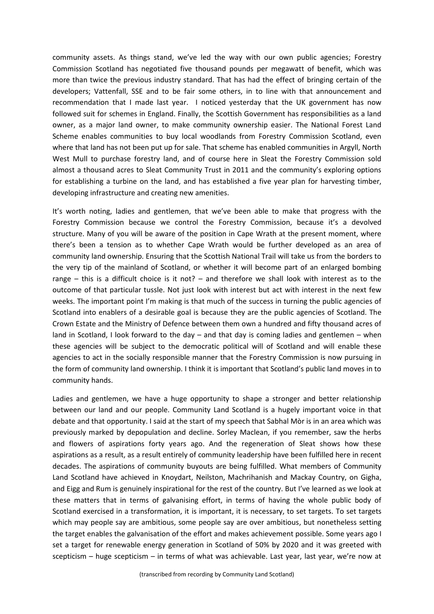community assets. As things stand, we've led the way with our own public agencies; Forestry Commission Scotland has negotiated five thousand pounds per megawatt of benefit, which was more than twice the previous industry standard. That has had the effect of bringing certain of the developers; Vattenfall, SSE and to be fair some others, in to line with that announcement and recommendation that I made last year. I noticed yesterday that the UK government has now followed suit for schemes in England. Finally, the Scottish Government has responsibilities as a land owner, as a major land owner, to make community ownership easier. The National Forest Land Scheme enables communities to buy local woodlands from Forestry Commission Scotland, even where that land has not been put up for sale. That scheme has enabled communities in Argyll, North West Mull to purchase forestry land, and of course here in Sleat the Forestry Commission sold almost a thousand acres to Sleat Community Trust in 2011 and the community's exploring options for establishing a turbine on the land, and has established a five year plan for harvesting timber, developing infrastructure and creating new amenities.

It's worth noting, ladies and gentlemen, that we've been able to make that progress with the Forestry Commission because we control the Forestry Commission, because it's a devolved structure. Many of you will be aware of the position in Cape Wrath at the present moment, where there's been a tension as to whether Cape Wrath would be further developed as an area of community land ownership. Ensuring that the Scottish National Trail will take us from the borders to the very tip of the mainland of Scotland, or whether it will become part of an enlarged bombing range – this is a difficult choice is it not? – and therefore we shall look with interest as to the outcome of that particular tussle. Not just look with interest but act with interest in the next few weeks. The important point I'm making is that much of the success in turning the public agencies of Scotland into enablers of a desirable goal is because they are the public agencies of Scotland. The Crown Estate and the Ministry of Defence between them own a hundred and fifty thousand acres of land in Scotland, I look forward to the day – and that day is coming ladies and gentlemen – when these agencies will be subject to the democratic political will of Scotland and will enable these agencies to act in the socially responsible manner that the Forestry Commission is now pursuing in the form of community land ownership. I think it is important that Scotland's public land moves in to community hands.

Ladies and gentlemen, we have a huge opportunity to shape a stronger and better relationship between our land and our people. Community Land Scotland is a hugely important voice in that debate and that opportunity. I said at the start of my speech that Sabhal Mòr is in an area which was previously marked by depopulation and decline. Sorley Maclean, if you remember, saw the herbs and flowers of aspirations forty years ago. And the regeneration of Sleat shows how these aspirations as a result, as a result entirely of community leadership have been fulfilled here in recent decades. The aspirations of community buyouts are being fulfilled. What members of Community Land Scotland have achieved in Knoydart, Neilston, Machrihanish and Mackay Country, on Gigha, and Eigg and Rum is genuinely inspirational for the rest of the country. But I've learned as we look at these matters that in terms of galvanising effort, in terms of having the whole public body of Scotland exercised in a transformation, it is important, it is necessary, to set targets. To set targets which may people say are ambitious, some people say are over ambitious, but nonetheless setting the target enables the galvanisation of the effort and makes achievement possible. Some years ago I set a target for renewable energy generation in Scotland of 50% by 2020 and it was greeted with scepticism – huge scepticism – in terms of what was achievable. Last year, last year, we're now at